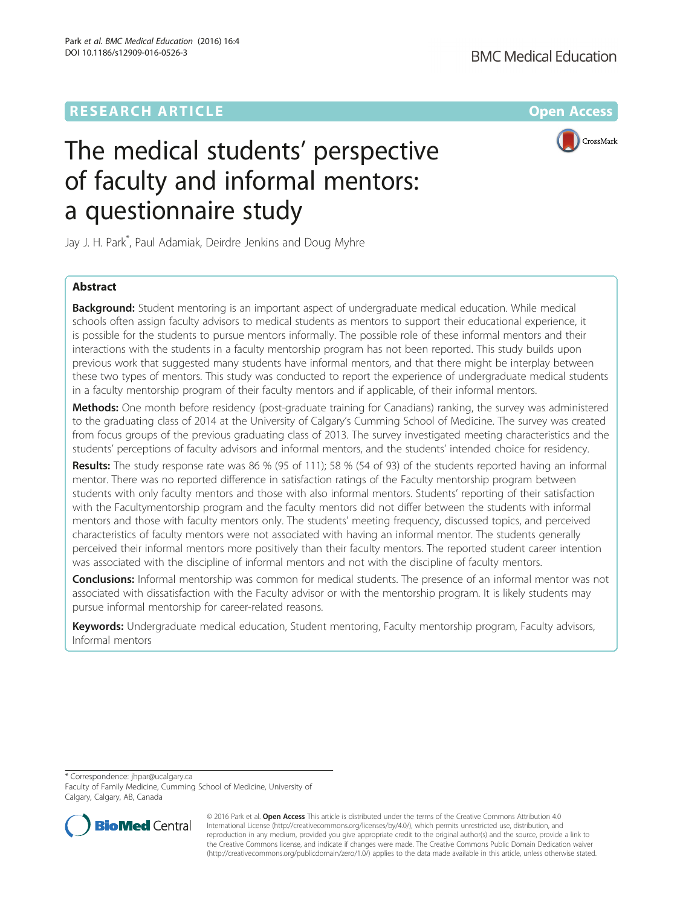CrossMark

# The medical students' perspective of faculty and informal mentors: a questionnaire study

Jay J. H. Park\* , Paul Adamiak, Deirdre Jenkins and Doug Myhre

# Abstract

**Background:** Student mentoring is an important aspect of undergraduate medical education. While medical schools often assign faculty advisors to medical students as mentors to support their educational experience, it is possible for the students to pursue mentors informally. The possible role of these informal mentors and their interactions with the students in a faculty mentorship program has not been reported. This study builds upon previous work that suggested many students have informal mentors, and that there might be interplay between these two types of mentors. This study was conducted to report the experience of undergraduate medical students in a faculty mentorship program of their faculty mentors and if applicable, of their informal mentors.

Methods: One month before residency (post-graduate training for Canadians) ranking, the survey was administered to the graduating class of 2014 at the University of Calgary's Cumming School of Medicine. The survey was created from focus groups of the previous graduating class of 2013. The survey investigated meeting characteristics and the students' perceptions of faculty advisors and informal mentors, and the students' intended choice for residency.

Results: The study response rate was 86 % (95 of 111); 58 % (54 of 93) of the students reported having an informal mentor. There was no reported difference in satisfaction ratings of the Faculty mentorship program between students with only faculty mentors and those with also informal mentors. Students' reporting of their satisfaction with the Facultymentorship program and the faculty mentors did not differ between the students with informal mentors and those with faculty mentors only. The students' meeting frequency, discussed topics, and perceived characteristics of faculty mentors were not associated with having an informal mentor. The students generally perceived their informal mentors more positively than their faculty mentors. The reported student career intention was associated with the discipline of informal mentors and not with the discipline of faculty mentors.

**Conclusions:** Informal mentorship was common for medical students. The presence of an informal mentor was not associated with dissatisfaction with the Faculty advisor or with the mentorship program. It is likely students may pursue informal mentorship for career-related reasons.

Keywords: Undergraduate medical education, Student mentoring, Faculty mentorship program, Faculty advisors, Informal mentors

\* Correspondence: [jhpar@ucalgary.ca](mailto:jhpar@ucalgary.ca)

Faculty of Family Medicine, Cumming School of Medicine, University of Calgary, Calgary, AB, Canada



© 2016 Park et al. Open Access This article is distributed under the terms of the Creative Commons Attribution 4.0 International License [\(http://creativecommons.org/licenses/by/4.0/](http://creativecommons.org/licenses/by/4.0/)), which permits unrestricted use, distribution, and reproduction in any medium, provided you give appropriate credit to the original author(s) and the source, provide a link to the Creative Commons license, and indicate if changes were made. The Creative Commons Public Domain Dedication waiver [\(http://creativecommons.org/publicdomain/zero/1.0/](http://creativecommons.org/publicdomain/zero/1.0/)) applies to the data made available in this article, unless otherwise stated.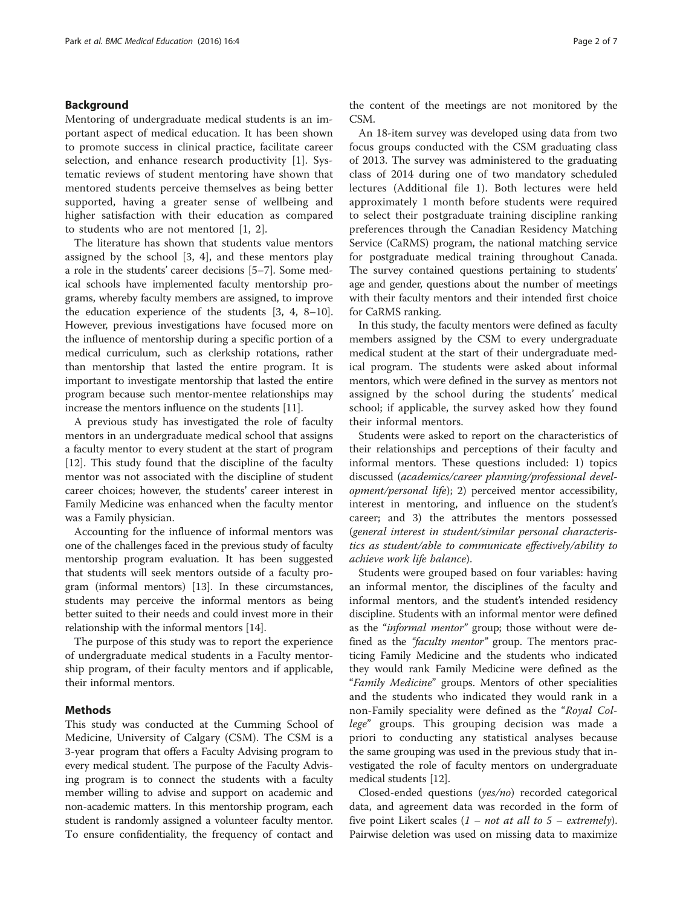## Background

Mentoring of undergraduate medical students is an important aspect of medical education. It has been shown to promote success in clinical practice, facilitate career selection, and enhance research productivity [[1\]](#page-6-0). Systematic reviews of student mentoring have shown that mentored students perceive themselves as being better supported, having a greater sense of wellbeing and higher satisfaction with their education as compared to students who are not mentored [[1, 2\]](#page-6-0).

The literature has shown that students value mentors assigned by the school [[3, 4](#page-6-0)], and these mentors play a role in the students' career decisions [[5](#page-6-0)–[7](#page-6-0)]. Some medical schools have implemented faculty mentorship programs, whereby faculty members are assigned, to improve the education experience of the students [[3](#page-6-0), [4, 8](#page-6-0)–[10](#page-6-0)]. However, previous investigations have focused more on the influence of mentorship during a specific portion of a medical curriculum, such as clerkship rotations, rather than mentorship that lasted the entire program. It is important to investigate mentorship that lasted the entire program because such mentor-mentee relationships may increase the mentors influence on the students [[11](#page-6-0)].

A previous study has investigated the role of faculty mentors in an undergraduate medical school that assigns a faculty mentor to every student at the start of program [[12\]](#page-6-0). This study found that the discipline of the faculty mentor was not associated with the discipline of student career choices; however, the students' career interest in Family Medicine was enhanced when the faculty mentor was a Family physician.

Accounting for the influence of informal mentors was one of the challenges faced in the previous study of faculty mentorship program evaluation. It has been suggested that students will seek mentors outside of a faculty program (informal mentors) [[13](#page-6-0)]. In these circumstances, students may perceive the informal mentors as being better suited to their needs and could invest more in their relationship with the informal mentors [\[14](#page-6-0)].

The purpose of this study was to report the experience of undergraduate medical students in a Faculty mentorship program, of their faculty mentors and if applicable, their informal mentors.

## Methods

This study was conducted at the Cumming School of Medicine, University of Calgary (CSM). The CSM is a 3-year program that offers a Faculty Advising program to every medical student. The purpose of the Faculty Advising program is to connect the students with a faculty member willing to advise and support on academic and non-academic matters. In this mentorship program, each student is randomly assigned a volunteer faculty mentor. To ensure confidentiality, the frequency of contact and the content of the meetings are not monitored by the CSM.

An 18-item survey was developed using data from two focus groups conducted with the CSM graduating class of 2013. The survey was administered to the graduating class of 2014 during one of two mandatory scheduled lectures (Additional file [1\)](#page-5-0). Both lectures were held approximately 1 month before students were required to select their postgraduate training discipline ranking preferences through the Canadian Residency Matching Service (CaRMS) program, the national matching service for postgraduate medical training throughout Canada. The survey contained questions pertaining to students' age and gender, questions about the number of meetings with their faculty mentors and their intended first choice for CaRMS ranking.

In this study, the faculty mentors were defined as faculty members assigned by the CSM to every undergraduate medical student at the start of their undergraduate medical program. The students were asked about informal mentors, which were defined in the survey as mentors not assigned by the school during the students' medical school; if applicable, the survey asked how they found their informal mentors.

Students were asked to report on the characteristics of their relationships and perceptions of their faculty and informal mentors. These questions included: 1) topics discussed (academics/career planning/professional development/personal life); 2) perceived mentor accessibility, interest in mentoring, and influence on the student's career; and 3) the attributes the mentors possessed (general interest in student/similar personal characteristics as student/able to communicate effectively/ability to achieve work life balance).

Students were grouped based on four variables: having an informal mentor, the disciplines of the faculty and informal mentors, and the student's intended residency discipline. Students with an informal mentor were defined as the "informal mentor" group; those without were defined as the "faculty mentor" group. The mentors practicing Family Medicine and the students who indicated they would rank Family Medicine were defined as the "Family Medicine" groups. Mentors of other specialities and the students who indicated they would rank in a non-Family speciality were defined as the "Royal College" groups. This grouping decision was made a priori to conducting any statistical analyses because the same grouping was used in the previous study that investigated the role of faculty mentors on undergraduate medical students [[12](#page-6-0)].

Closed-ended questions (yes/no) recorded categorical data, and agreement data was recorded in the form of five point Likert scales  $(1 - not at all to 5 - extremely)$ . Pairwise deletion was used on missing data to maximize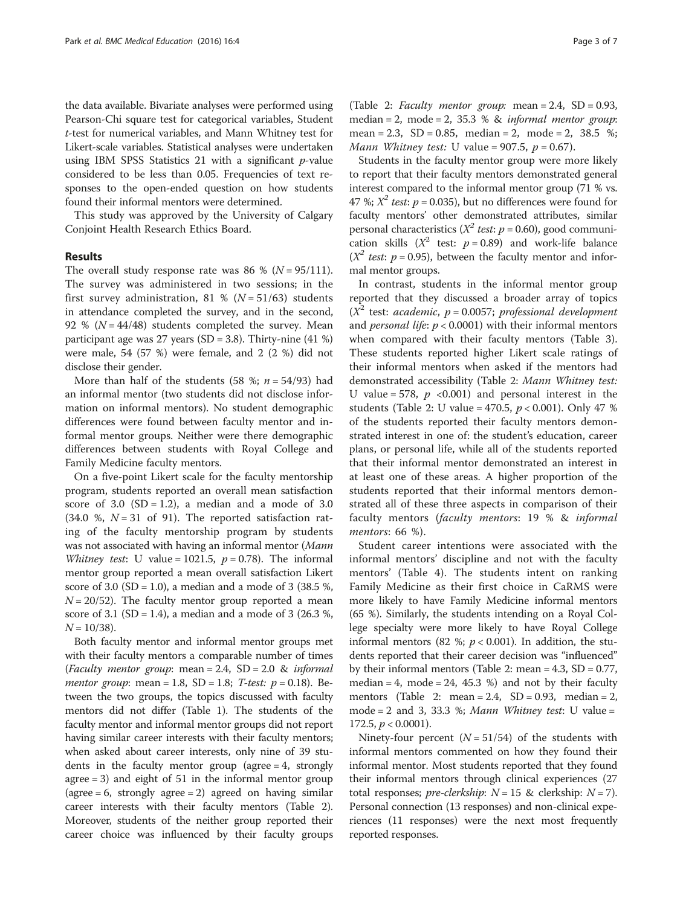the data available. Bivariate analyses were performed using Pearson-Chi square test for categorical variables, Student t-test for numerical variables, and Mann Whitney test for Likert-scale variables. Statistical analyses were undertaken using IBM SPSS Statistics 21 with a significant  $p$ -value considered to be less than 0.05. Frequencies of text responses to the open-ended question on how students found their informal mentors were determined.

This study was approved by the University of Calgary Conjoint Health Research Ethics Board.

## Results

The overall study response rate was 86 % ( $N = 95/111$ ). The survey was administered in two sessions; in the first survey administration, 81 % ( $N = 51/63$ ) students in attendance completed the survey, and in the second, 92 % ( $N = 44/48$ ) students completed the survey. Mean participant age was 27 years (SD = 3.8). Thirty-nine (41 %) were male, 54 (57 %) were female, and 2 (2 %) did not disclose their gender.

More than half of the students (58 %;  $n = 54/93$ ) had an informal mentor (two students did not disclose information on informal mentors). No student demographic differences were found between faculty mentor and informal mentor groups. Neither were there demographic differences between students with Royal College and Family Medicine faculty mentors.

On a five-point Likert scale for the faculty mentorship program, students reported an overall mean satisfaction score of 3.0  $(SD = 1.2)$ , a median and a mode of 3.0 (34.0 %,  $N = 31$  of 91). The reported satisfaction rating of the faculty mentorship program by students was not associated with having an informal mentor (Mann Whitney test: U value = 1021.5,  $p = 0.78$ ). The informal mentor group reported a mean overall satisfaction Likert score of 3.0 (SD = 1.0), a median and a mode of 3 (38.5 %,  $N = 20/52$ ). The faculty mentor group reported a mean score of 3.1 (SD = 1.4), a median and a mode of 3 (26.3 %,  $N = 10/38$ ).

Both faculty mentor and informal mentor groups met with their faculty mentors a comparable number of times (Faculty mentor group: mean = 2.4,  $SD = 2.0$  & informal *mentor group*: mean = 1.8,  $SD = 1.8$ ; *T-test: p* = 0.18). Between the two groups, the topics discussed with faculty mentors did not differ (Table [1\)](#page-3-0). The students of the faculty mentor and informal mentor groups did not report having similar career interests with their faculty mentors; when asked about career interests, only nine of 39 students in the faculty mentor group (agree  $= 4$ , strongly agree = 3) and eight of 51 in the informal mentor group (agree  $= 6$ , strongly agree  $= 2$ ) agreed on having similar career interests with their faculty mentors (Table [2](#page-4-0)). Moreover, students of the neither group reported their career choice was influenced by their faculty groups

(Table [2](#page-4-0): *Faculty mentor group*: mean =  $2.4$ , SD = 0.93, median = 2, mode = 2, 35.3 %  $\&$  informal mentor group: mean = 2.3,  $SD = 0.85$ , median = 2, mode = 2, 38.5 %; Mann Whitney test: U value =  $907.5$ ,  $p = 0.67$ ).

Students in the faculty mentor group were more likely to report that their faculty mentors demonstrated general interest compared to the informal mentor group (71 % vs. 47 %;  $X^2$  test:  $p = 0.035$ ), but no differences were found for faculty mentors' other demonstrated attributes, similar personal characteristics ( $X^2$  test:  $p = 0.60$ ), good communication skills ( $X^2$  test:  $p = 0.89$ ) and work-life balance  $(X^2$  test:  $p = 0.95)$ , between the faculty mentor and informal mentor groups.

In contrast, students in the informal mentor group reported that they discussed a broader array of topics  $(X^2$  test: academic,  $p = 0.0057$ ; professional development and *personal life:*  $p < 0.0001$ ) with their informal mentors when compared with their faculty mentors (Table [3](#page-5-0)). These students reported higher Likert scale ratings of their informal mentors when asked if the mentors had demonstrated accessibility (Table [2:](#page-4-0) Mann Whitney test: U value = 578,  $p \le 0.001$  and personal interest in the students (Table [2](#page-4-0): U value = 470.5,  $p < 0.001$ ). Only 47 % of the students reported their faculty mentors demonstrated interest in one of: the student's education, career plans, or personal life, while all of the students reported that their informal mentor demonstrated an interest in at least one of these areas. A higher proportion of the students reported that their informal mentors demonstrated all of these three aspects in comparison of their faculty mentors (faculty mentors: 19 % & informal mentors: 66 %).

Student career intentions were associated with the informal mentors' discipline and not with the faculty mentors' (Table [4](#page-5-0)). The students intent on ranking Family Medicine as their first choice in CaRMS were more likely to have Family Medicine informal mentors (65 %). Similarly, the students intending on a Royal College specialty were more likely to have Royal College informal mentors (82 %;  $p < 0.001$ ). In addition, the students reported that their career decision was "influenced" by their informal mentors (Table [2:](#page-4-0) mean =  $4.3$ , SD =  $0.77$ , median = 4, mode = 24, 45.3 %) and not by their faculty mentors (Table [2:](#page-4-0) mean =  $2.4$ , SD = 0.93, median = 2, mode = 2 and 3, 33.3 %; Mann Whitney test: U value = 172.5,  $p < 0.0001$ ).

Ninety-four percent  $(N = 51/54)$  of the students with informal mentors commented on how they found their informal mentor. Most students reported that they found their informal mentors through clinical experiences (27 total responses; *pre-clerkship*:  $N = 15$  & clerkship:  $N = 7$ ). Personal connection (13 responses) and non-clinical experiences (11 responses) were the next most frequently reported responses.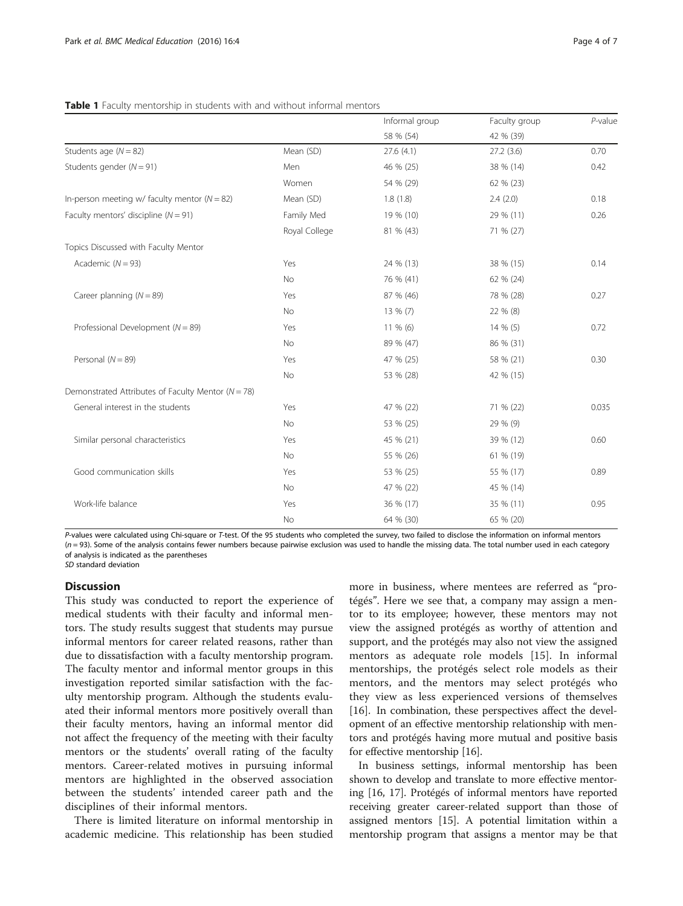|                                                        |               | Informal group | Faculty group | $P$ -value |
|--------------------------------------------------------|---------------|----------------|---------------|------------|
|                                                        |               | 58 % (54)      | 42 % (39)     |            |
| Students age $(N = 82)$                                | Mean (SD)     | 27.6(4.1)      | 27.2(3.6)     | 0.70       |
| Students gender ( $N = 91$ )                           | Men           | 46 % (25)      | 38 % (14)     | 0.42       |
|                                                        | Women         | 54 % (29)      | 62 % (23)     |            |
| In-person meeting w/ faculty mentor ( $N = 82$ )       | Mean (SD)     | 1.8(1.8)       | 2.4(2.0)      | 0.18       |
| Faculty mentors' discipline ( $N = 91$ )               | Family Med    | 19 % (10)      | 29 % (11)     | 0.26       |
|                                                        | Royal College | 81 % (43)      | 71 % (27)     |            |
| Topics Discussed with Faculty Mentor                   |               |                |               |            |
| Academic $(N = 93)$                                    | Yes           | 24 % (13)      | 38 % (15)     | 0.14       |
|                                                        | No            | 76 % (41)      | 62 % (24)     |            |
| Career planning $(N = 89)$                             | Yes           | 87 % (46)      | 78 % (28)     | 0.27       |
|                                                        | <b>No</b>     | 13 % (7)       | 22 % (8)      |            |
| Professional Development ( $N = 89$ )                  | Yes           | $11\%$ (6)     | 14 % (5)      | 0.72       |
|                                                        | <b>No</b>     | 89 % (47)      | 86 % (31)     |            |
| Personal $(N = 89)$                                    | Yes           | 47 % (25)      | 58 % (21)     | 0.30       |
|                                                        | No            | 53 % (28)      | 42 % (15)     |            |
| Demonstrated Attributes of Faculty Mentor ( $N = 78$ ) |               |                |               |            |
| General interest in the students                       | Yes           | 47 % (22)      | 71 % (22)     | 0.035      |
|                                                        | No            | 53 % (25)      | 29 % (9)      |            |
| Similar personal characteristics                       | Yes           | 45 % (21)      | 39 % (12)     | 0.60       |
|                                                        | No            | 55 % (26)      | 61 % (19)     |            |
| Good communication skills                              | Yes           | 53 % (25)      | 55 % (17)     | 0.89       |
|                                                        | <b>No</b>     | 47 % (22)      | 45 % (14)     |            |
| Work-life balance                                      | Yes           | 36 % (17)      | 35 % (11)     | 0.95       |
|                                                        | No            | 64 % (30)      | 65 % (20)     |            |

#### <span id="page-3-0"></span>Table 1 Faculty mentorship in students with and without informal mentors

P-values were calculated using Chi-square or T-test. Of the 95 students who completed the survey, two failed to disclose the information on informal mentors  $(n = 93)$ . Some of the analysis contains fewer numbers because pairwise exclusion was used to handle the missing data. The total number used in each category of analysis is indicated as the parentheses SD standard deviation

## **Discussion**

This study was conducted to report the experience of medical students with their faculty and informal mentors. The study results suggest that students may pursue informal mentors for career related reasons, rather than due to dissatisfaction with a faculty mentorship program. The faculty mentor and informal mentor groups in this investigation reported similar satisfaction with the faculty mentorship program. Although the students evaluated their informal mentors more positively overall than their faculty mentors, having an informal mentor did not affect the frequency of the meeting with their faculty mentors or the students' overall rating of the faculty mentors. Career-related motives in pursuing informal mentors are highlighted in the observed association between the students' intended career path and the disciplines of their informal mentors.

There is limited literature on informal mentorship in academic medicine. This relationship has been studied

more in business, where mentees are referred as "protégés". Here we see that, a company may assign a mentor to its employee; however, these mentors may not view the assigned protégés as worthy of attention and support, and the protégés may also not view the assigned mentors as adequate role models [[15\]](#page-6-0). In informal mentorships, the protégés select role models as their mentors, and the mentors may select protégés who they view as less experienced versions of themselves [[16\]](#page-6-0). In combination, these perspectives affect the development of an effective mentorship relationship with mentors and protégés having more mutual and positive basis for effective mentorship [[16\]](#page-6-0).

In business settings, informal mentorship has been shown to develop and translate to more effective mentoring [\[16, 17](#page-6-0)]. Protégés of informal mentors have reported receiving greater career-related support than those of assigned mentors [[15](#page-6-0)]. A potential limitation within a mentorship program that assigns a mentor may be that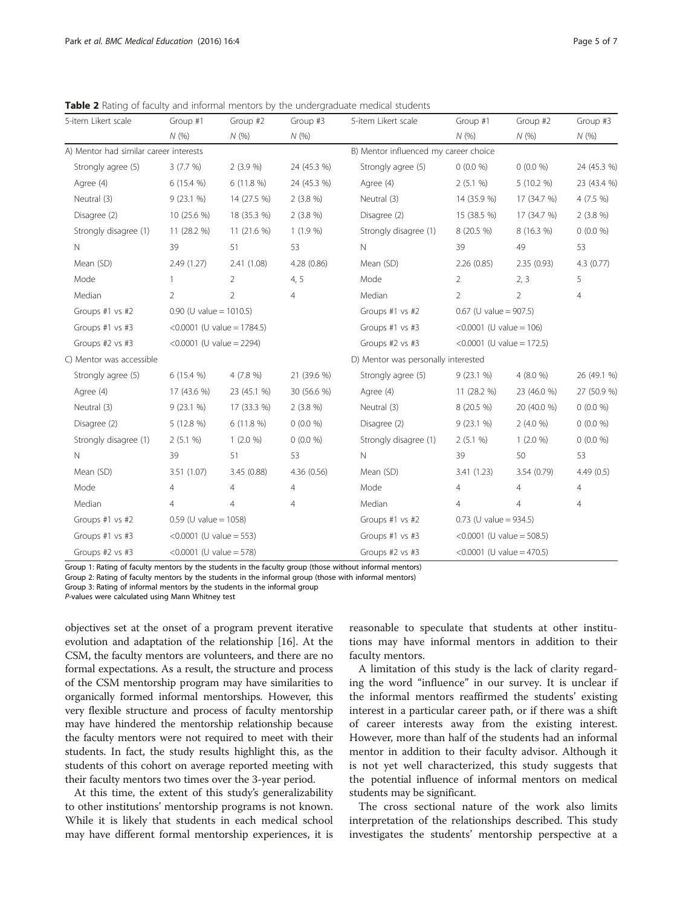<span id="page-4-0"></span>Table 2 Rating of faculty and informal mentors by the undergraduate medical students

| 5-item Likert scale                    | Group #1                      | Group #2                | Group #3       | 5-item Likert scale                   | Group #1                     | Group #2       | Group #3       |
|----------------------------------------|-------------------------------|-------------------------|----------------|---------------------------------------|------------------------------|----------------|----------------|
|                                        | N(% )                         | N(%                     | N(%)           |                                       | N(%                          | N(%)           | N(%)           |
| A) Mentor had similar career interests |                               |                         |                | B) Mentor influenced my career choice |                              |                |                |
| Strongly agree (5)                     | 3(7.7%)                       | 2(3.9%                  | 24 (45.3 %)    | Strongly agree (5)                    | $0(0.0\%)$                   | $0(0.0\%)$     | 24 (45.3 %)    |
| Agree (4)                              | 6 (15.4 %)                    | 6(11.8%)                | 24 (45.3 %)    | Agree (4)                             | 2(5.1 %)                     | $5(10.2\%)$    | 23 (43.4 %)    |
| Neutral (3)                            | 9(23.1%                       | 14 (27.5 %)             | $2(3.8\%)$     | Neutral (3)                           | 14 (35.9 %)                  | 17 (34.7 %)    | $4(7.5\%)$     |
| Disagree (2)                           | 10 (25.6 %)                   | 18 (35.3 %)             | $2(3.8\%)$     | Disagree (2)                          | 15 (38.5 %)                  | 17 (34.7 %)    | $2(3.8\%)$     |
| Strongly disagree (1)                  | 11 (28.2 %)                   | 11 (21.6 %)             | $1(1.9\%)$     | Strongly disagree (1)                 | 8 (20.5 %)                   | 8 (16.3 %)     | $0(0.0\%)$     |
| $\mathbb{N}$                           | 39                            | 51                      | 53             | N                                     | 39                           | 49             | 53             |
| Mean (SD)                              | 2.49(1.27)                    | 2.41(1.08)              | 4.28 (0.86)    | Mean (SD)                             | 2.26(0.85)                   | 2.35(0.93)     | 4.3 (0.77)     |
| Mode                                   | $\mathbf{1}$                  | $\overline{2}$          | 4, 5           | Mode                                  | $\overline{2}$               | 2, 3           | 5              |
| Median                                 | $\overline{2}$                | $\overline{2}$          | $\overline{4}$ | Median                                | $\overline{2}$               | $\overline{2}$ | $\overline{4}$ |
| Groups #1 vs #2                        | $0.90$ (U value = 1010.5)     |                         |                | Groups #1 vs #2                       | $0.67$ (U value = 907.5)     |                |                |
| Groups #1 vs #3                        | < $0.0001$ (U value = 1784.5) |                         |                | Groups #1 vs #3                       | < $0.0001$ (U value = 106)   |                |                |
| Groups #2 vs #3                        | < $0.0001$ (U value = 2294)   |                         |                | Groups #2 vs #3                       | < $0.0001$ (U value = 172.5) |                |                |
| C) Mentor was accessible               |                               |                         |                | D) Mentor was personally interested   |                              |                |                |
| Strongly agree (5)                     | $6(15.4\%)$                   | 4 (7.8 %)               | 21 (39.6 %)    | Strongly agree (5)                    | $9(23.1\%)$                  | 4(8.0%         | 26 (49.1 %)    |
| Agree (4)                              | 17 (43.6 %)                   | 23 (45.1 %)             | 30 (56.6 %)    | Agree (4)                             | 11 (28.2 %)                  | 23 (46.0 %)    | 27 (50.9 %)    |
| Neutral (3)                            | $9(23.1\%)$                   | 17 (33.3 %)             | $2(3.8\%)$     | Neutral (3)                           | 8 (20.5 %)                   | 20 (40.0 %)    | $0(0.0\%)$     |
| Disagree (2)                           | 5 (12.8 %)                    | $6(11.8\%)$             | $0(0.0\%)$     | Disagree (2)                          | $9(23.1\%)$                  | 2(4.0%         | $0(0.0\%)$     |
| Strongly disagree (1)                  | 2(5.1%                        | $1(2.0\%)$              | $0(0.0\%)$     | Strongly disagree (1)                 | 2(5.1%                       | $1(2.0\%)$     | $0(0.0\%)$     |
| $\mathbb{N}$                           | 39                            | 51                      | 53             | N                                     | 39                           | 50             | 53             |
| Mean (SD)                              | 3.51(1.07)                    | 3.45 (0.88)             | 4.36(0.56)     | Mean (SD)                             | 3.41(1.23)                   | 3.54(0.79)     | 4.49(0.5)      |
| Mode                                   | $\overline{4}$                | $\overline{4}$          | $\overline{4}$ | Mode                                  | $\overline{4}$               | $\overline{4}$ | $\overline{4}$ |
| Median                                 | 4                             | $\overline{4}$          | $\overline{4}$ | Median                                | $\overline{4}$               | $\overline{4}$ | $\overline{4}$ |
| Groups #1 vs #2                        |                               | $0.59$ (U value = 1058) |                | Groups #1 vs #2                       | $0.73$ (U value = 934.5)     |                |                |
| Groups #1 vs #3                        | < $0.0001$ (U value = 553)    |                         |                | Groups #1 vs #3                       | < $0.0001$ (U value = 508.5) |                |                |
| Groups #2 vs #3                        | < $0.0001$ (U value = 578)    |                         |                | Groups #2 vs #3                       | < $0.0001$ (U value = 470.5) |                |                |

Group 1: Rating of faculty mentors by the students in the faculty group (those without informal mentors)

Group 2: Rating of faculty mentors by the students in the informal group (those with informal mentors)

Group 3: Rating of informal mentors by the students in the informal group

P-values were calculated using Mann Whitney test

objectives set at the onset of a program prevent iterative evolution and adaptation of the relationship [\[16\]](#page-6-0). At the CSM, the faculty mentors are volunteers, and there are no formal expectations. As a result, the structure and process of the CSM mentorship program may have similarities to organically formed informal mentorships. However, this very flexible structure and process of faculty mentorship may have hindered the mentorship relationship because the faculty mentors were not required to meet with their students. In fact, the study results highlight this, as the students of this cohort on average reported meeting with their faculty mentors two times over the 3-year period.

At this time, the extent of this study's generalizability to other institutions' mentorship programs is not known. While it is likely that students in each medical school may have different formal mentorship experiences, it is

reasonable to speculate that students at other institutions may have informal mentors in addition to their faculty mentors.

A limitation of this study is the lack of clarity regarding the word "influence" in our survey. It is unclear if the informal mentors reaffirmed the students' existing interest in a particular career path, or if there was a shift of career interests away from the existing interest. However, more than half of the students had an informal mentor in addition to their faculty advisor. Although it is not yet well characterized, this study suggests that the potential influence of informal mentors on medical students may be significant.

The cross sectional nature of the work also limits interpretation of the relationships described. This study investigates the students' mentorship perspective at a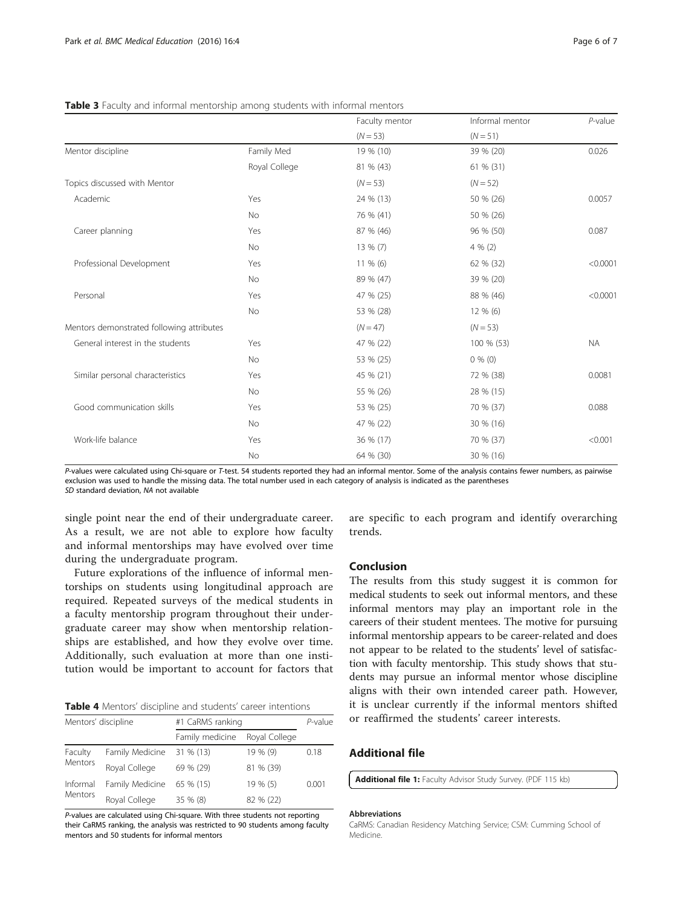|                                           |               | Faculty mentor | Informal mentor | $P$ -value |
|-------------------------------------------|---------------|----------------|-----------------|------------|
|                                           |               | $(N = 53)$     | $(N = 51)$      |            |
| Mentor discipline                         | Family Med    | 19 % (10)      | 39 % (20)       | 0.026      |
|                                           | Royal College | 81 % (43)      | 61 % (31)       |            |
| Topics discussed with Mentor              |               | $(N = 53)$     | $(N = 52)$      |            |
| Academic                                  | Yes           | 24 % (13)      | 50 % (26)       | 0.0057     |
|                                           | No            | 76 % (41)      | 50 % (26)       |            |
| Career planning                           | Yes           | 87 % (46)      | 96 % (50)       | 0.087      |
|                                           | No            | 13 % (7)       | $4\%$ (2)       |            |
| Professional Development                  | Yes           | $11\%$ (6)     | 62 % (32)       | < 0.0001   |
|                                           | No            | 89 % (47)      | 39 % (20)       |            |
| Personal                                  | Yes           | 47 % (25)      | 88 % (46)       | < 0.0001   |
|                                           | No            | 53 % (28)      | 12 % (6)        |            |
| Mentors demonstrated following attributes |               | $(N = 47)$     | $(N = 53)$      |            |
| General interest in the students          | Yes           | 47 % (22)      | 100 % (53)      | <b>NA</b>  |
|                                           | No            | 53 % (25)      | $0\%$ (0)       |            |
| Similar personal characteristics          | Yes           | 45 % (21)      | 72 % (38)       | 0.0081     |
|                                           | <b>No</b>     | 55 % (26)      | 28 % (15)       |            |
| Good communication skills                 | Yes           | 53 % (25)      | 70 % (37)       | 0.088      |
|                                           | No            | 47 % (22)      | 30 % (16)       |            |
| Work-life balance                         | Yes           | 36 % (17)      | 70 % (37)       | < 0.001    |
|                                           | No            | 64 % (30)      | 30 % (16)       |            |

<span id="page-5-0"></span>Table 3 Faculty and informal mentorship among students with informal mentors

P-values were calculated using Chi-square or T-test. 54 students reported they had an informal mentor. Some of the analysis contains fewer numbers, as pairwise exclusion was used to handle the missing data. The total number used in each category of analysis is indicated as the parentheses SD standard deviation, NA not available

single point near the end of their undergraduate career. As a result, we are not able to explore how faculty and informal mentorships may have evolved over time during the undergraduate program.

Future explorations of the influence of informal mentorships on students using longitudinal approach are required. Repeated surveys of the medical students in a faculty mentorship program throughout their undergraduate career may show when mentorship relationships are established, and how they evolve over time. Additionally, such evaluation at more than one institution would be important to account for factors that

Table 4 Mentors' discipline and students' career intentions

| Mentors' discipline |                 | #1 CaRMS ranking | P-value       |       |
|---------------------|-----------------|------------------|---------------|-------|
|                     |                 | Family medicine  | Royal College |       |
| Faculty<br>Mentors  | Family Medicine | 31 % (13)        | 19 % (9)      | 0.18  |
|                     | Royal College   | 69 % (29)        | 81 % (39)     |       |
| Informal<br>Mentors | Family Medicine | 65 % (15)        | $19\%$ (5)    | 0.001 |
|                     | Royal College   | 35 % (8)         | 82 % (22)     |       |

P-values are calculated using Chi-square. With three students not reporting their CaRMS ranking, the analysis was restricted to 90 students among faculty mentors and 50 students for informal mentors

are specific to each program and identify overarching trends.

# Conclusion

The results from this study suggest it is common for medical students to seek out informal mentors, and these informal mentors may play an important role in the careers of their student mentees. The motive for pursuing informal mentorship appears to be career-related and does not appear to be related to the students' level of satisfaction with faculty mentorship. This study shows that students may pursue an informal mentor whose discipline aligns with their own intended career path. However, it is unclear currently if the informal mentors shifted or reaffirmed the students' career interests.

# Additional file

[Additional file 1:](dx.doi.org/10.1186/s12909-016-0526-3) Faculty Advisor Study Survey. (PDF 115 kb)

#### Abbreviations

CaRMS: Canadian Residency Matching Service; CSM: Cumming School of Medicine.